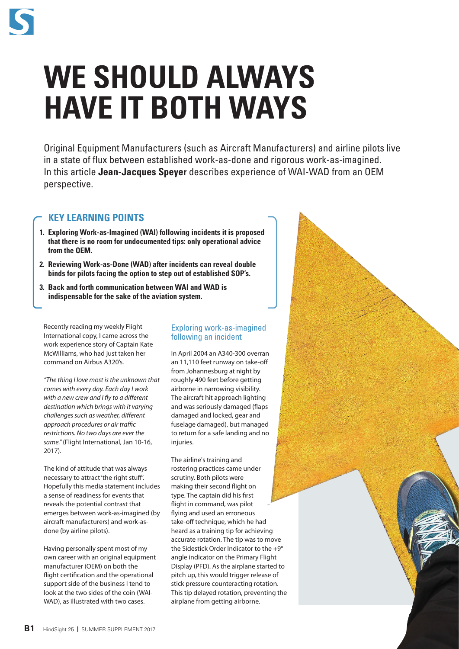

# **WE SHOULD ALWAYS HAVE IT BOTH WAYS**

Original Equipment Manufacturers (such as Aircraft Manufacturers) and airline pilots live in a state of flux between established work-as-done and rigorous work-as-imagined. In this article **Jean-Jacques Speyer** describes experience of WAI-WAD from an OEM perspective.

# **KEY LEARNING POINTS**

- **1. Exploring Work-as-Imagined (WAI) following incidents it is proposed that there is no room for undocumented tips: only operational advice from the OEM.**
- **2. Reviewing Work-as-Done (WAD) after incidents can reveal double binds for pilots facing the option to step out of established SOP's.**
- **3. Back and forth communication between WAI and WAD is indispensable for the sake of the aviation system.**

Recently reading my weekly Flight International copy, I came across the work experience story of Captain Kate McWilliams, who had just taken her command on Airbus A320's.

*"The thing I love most is the unknown that comes with every day. Each day I work with a new crew and I fly to a different destination which brings with it varying challenges such as weather, different approach procedures or air traffic restrictions. No two days are ever the same."* (Flight International, Jan 10-16, 2017).

The kind of attitude that was always necessary to attract 'the right stuff'. Hopefully this media statement includes a sense of readiness for events that reveals the potential contrast that emerges between work-as-imagined (by aircraft manufacturers) and work-asdone (by airline pilots).

Having personally spent most of my own career with an original equipment manufacturer (OEM) on both the flight certification and the operational support side of the business I tend to look at the two sides of the coin (WAI-WAD), as illustrated with two cases.

## Exploring work-as-imagined following an incident

In April 2004 an A340-300 overran an 11,110 feet runway on take-off from Johannesburg at night by roughly 490 feet before getting airborne in narrowing visibility. The aircraft hit approach lighting and was seriously damaged (flaps damaged and locked, gear and fuselage damaged), but managed to return for a safe landing and no injuries.

The airline's training and rostering practices came under scrutiny. Both pilots were making their second flight on type. The captain did his first flight in command, was pilot flying and used an erroneous take-off technique, which he had heard as a training tip for achieving accurate rotation. The tip was to move the Sidestick Order Indicator to the +9° angle indicator on the Primary Flight Display (PFD). As the airplane started to pitch up, this would trigger release of stick pressure counteracting rotation. This tip delayed rotation, preventing the airplane from getting airborne.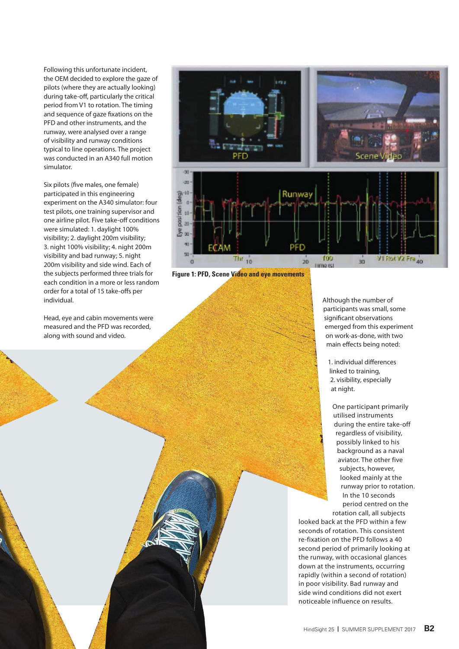Following this unfortunate incident, the OEM decided to explore the gaze of pilots (where they are actually looking) during take-off, particularly the critical period from V1 to rotation. The timing and sequence of gaze fixations on the PFD and other instruments, and the runway, were analysed over a range of visibility and runway conditions typical to line operations. The project was conducted in an A340 full motion simulator.

Six pilots (five males, one female) participated in this engineering experiment on the A340 simulator: four test pilots, one training supervisor and one airline pilot. Five take-off conditions were simulated: 1. daylight 100% visibility; 2. daylight 200m visibility; 3. night 100% visibility; 4. night 200m visibility and bad runway; 5. night 200m visibility and side wind. Each of the subjects performed three trials for each condition in a more or less random order for a total of 15 take-offs per individual.

Head, eye and cabin movements were measured and the PFD was recorded, along with sound and video.



**Figure 1: PFD, Scene Video and eye movements**

Although the number of participants was small, some significant observations emerged from this experiment on work-as-done, with two main effects being noted:

1. individual differences linked to training, 2. visibility, especially at night.

One participant primarily utilised instruments during the entire take-off regardless of visibility, possibly linked to his background as a naval aviator. The other five subjects, however, looked mainly at the runway prior to rotation. In the 10 seconds period centred on the

rotation call, all subjects looked back at the PFD within a few seconds of rotation. This consistent re-fixation on the PFD follows a 40 second period of primarily looking at the runway, with occasional glances down at the instruments, occurring rapidly (within a second of rotation) in poor visibility. Bad runway and side wind conditions did not exert noticeable influence on results.